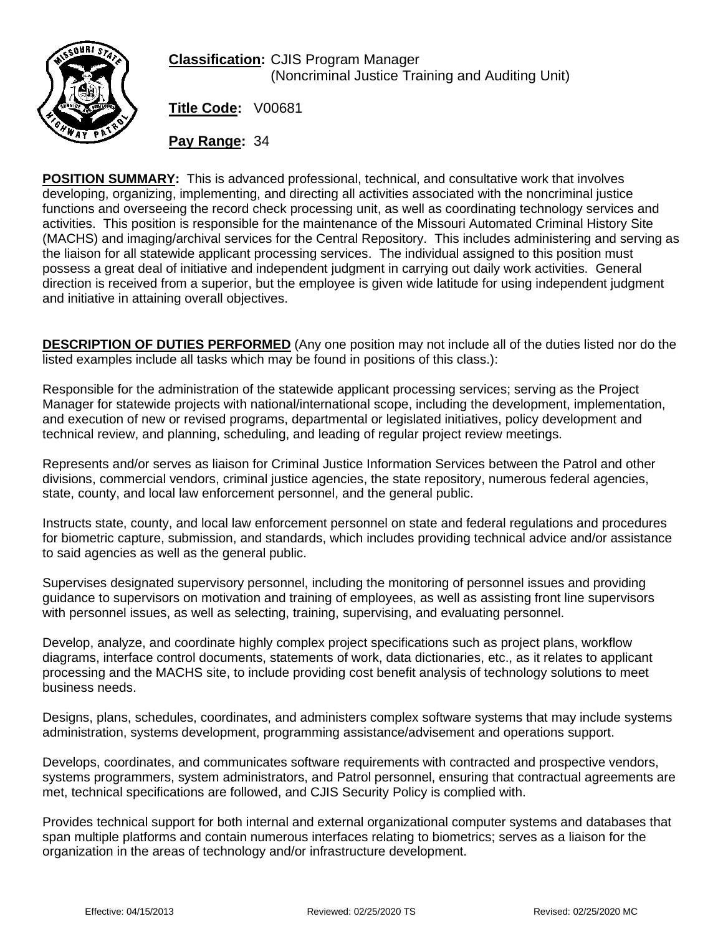

**Classification:** CJIS Program Manager (Noncriminal Justice Training and Auditing Unit)

**Title Code:** V00681

**Pay Range:** 34

**POSITION SUMMARY:** This is advanced professional, technical, and consultative work that involves developing, organizing, implementing, and directing all activities associated with the noncriminal justice functions and overseeing the record check processing unit, as well as coordinating technology services and activities. This position is responsible for the maintenance of the Missouri Automated Criminal History Site (MACHS) and imaging/archival services for the Central Repository. This includes administering and serving as the liaison for all statewide applicant processing services. The individual assigned to this position must possess a great deal of initiative and independent judgment in carrying out daily work activities. General direction is received from a superior, but the employee is given wide latitude for using independent judgment and initiative in attaining overall objectives.

**DESCRIPTION OF DUTIES PERFORMED** (Any one position may not include all of the duties listed nor do the listed examples include all tasks which may be found in positions of this class.):

Responsible for the administration of the statewide applicant processing services; serving as the Project Manager for statewide projects with national/international scope, including the development, implementation, and execution of new or revised programs, departmental or legislated initiatives, policy development and technical review, and planning, scheduling, and leading of regular project review meetings.

Represents and/or serves as liaison for Criminal Justice Information Services between the Patrol and other divisions, commercial vendors, criminal justice agencies, the state repository, numerous federal agencies, state, county, and local law enforcement personnel, and the general public.

Instructs state, county, and local law enforcement personnel on state and federal regulations and procedures for biometric capture, submission, and standards, which includes providing technical advice and/or assistance to said agencies as well as the general public.

Supervises designated supervisory personnel, including the monitoring of personnel issues and providing guidance to supervisors on motivation and training of employees, as well as assisting front line supervisors with personnel issues, as well as selecting, training, supervising, and evaluating personnel.

Develop, analyze, and coordinate highly complex project specifications such as project plans, workflow diagrams, interface control documents, statements of work, data dictionaries, etc., as it relates to applicant processing and the MACHS site, to include providing cost benefit analysis of technology solutions to meet business needs.

Designs, plans, schedules, coordinates, and administers complex software systems that may include systems administration, systems development, programming assistance/advisement and operations support.

Develops, coordinates, and communicates software requirements with contracted and prospective vendors, systems programmers, system administrators, and Patrol personnel, ensuring that contractual agreements are met, technical specifications are followed, and CJIS Security Policy is complied with.

Provides technical support for both internal and external organizational computer systems and databases that span multiple platforms and contain numerous interfaces relating to biometrics; serves as a liaison for the organization in the areas of technology and/or infrastructure development.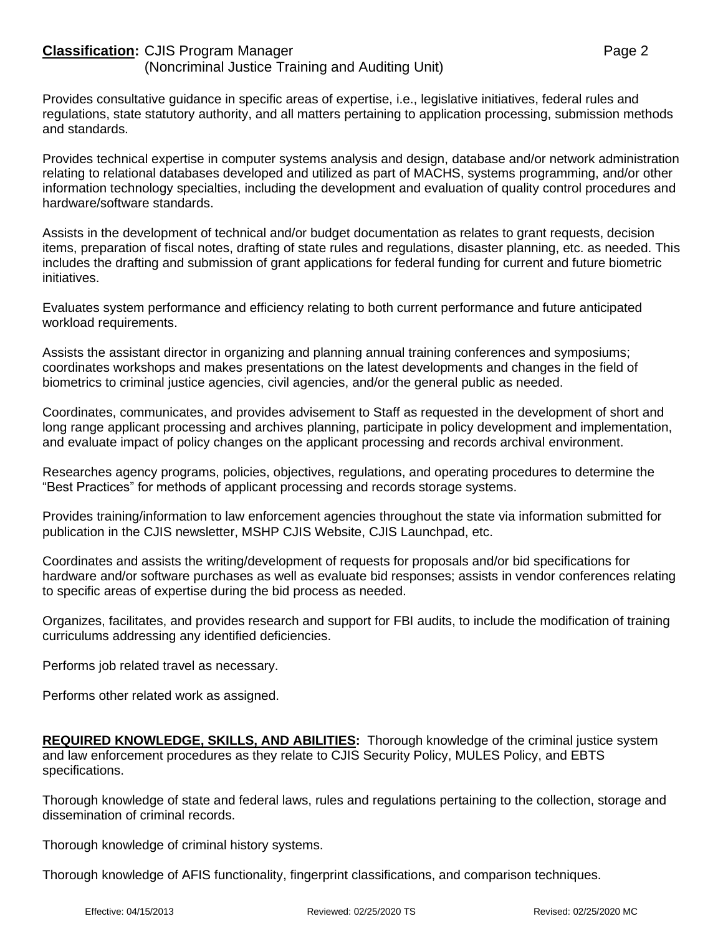## **Classification:** CJIS Program Manager **Page 2** Page 2

(Noncriminal Justice Training and Auditing Unit)

Provides consultative guidance in specific areas of expertise, i.e., legislative initiatives, federal rules and regulations, state statutory authority, and all matters pertaining to application processing, submission methods and standards.

Provides technical expertise in computer systems analysis and design, database and/or network administration relating to relational databases developed and utilized as part of MACHS, systems programming, and/or other information technology specialties, including the development and evaluation of quality control procedures and hardware/software standards.

Assists in the development of technical and/or budget documentation as relates to grant requests, decision items, preparation of fiscal notes, drafting of state rules and regulations, disaster planning, etc. as needed. This includes the drafting and submission of grant applications for federal funding for current and future biometric initiatives.

Evaluates system performance and efficiency relating to both current performance and future anticipated workload requirements.

Assists the assistant director in organizing and planning annual training conferences and symposiums; coordinates workshops and makes presentations on the latest developments and changes in the field of biometrics to criminal justice agencies, civil agencies, and/or the general public as needed.

Coordinates, communicates, and provides advisement to Staff as requested in the development of short and long range applicant processing and archives planning, participate in policy development and implementation, and evaluate impact of policy changes on the applicant processing and records archival environment.

Researches agency programs, policies, objectives, regulations, and operating procedures to determine the "Best Practices" for methods of applicant processing and records storage systems.

Provides training/information to law enforcement agencies throughout the state via information submitted for publication in the CJIS newsletter, MSHP CJIS Website, CJIS Launchpad, etc.

Coordinates and assists the writing/development of requests for proposals and/or bid specifications for hardware and/or software purchases as well as evaluate bid responses; assists in vendor conferences relating to specific areas of expertise during the bid process as needed.

Organizes, facilitates, and provides research and support for FBI audits, to include the modification of training curriculums addressing any identified deficiencies.

Performs job related travel as necessary.

Performs other related work as assigned.

**REQUIRED KNOWLEDGE, SKILLS, AND ABILITIES:** Thorough knowledge of the criminal justice system and law enforcement procedures as they relate to CJIS Security Policy, MULES Policy, and EBTS specifications.

Thorough knowledge of state and federal laws, rules and regulations pertaining to the collection, storage and dissemination of criminal records.

Thorough knowledge of criminal history systems.

Thorough knowledge of AFIS functionality, fingerprint classifications, and comparison techniques.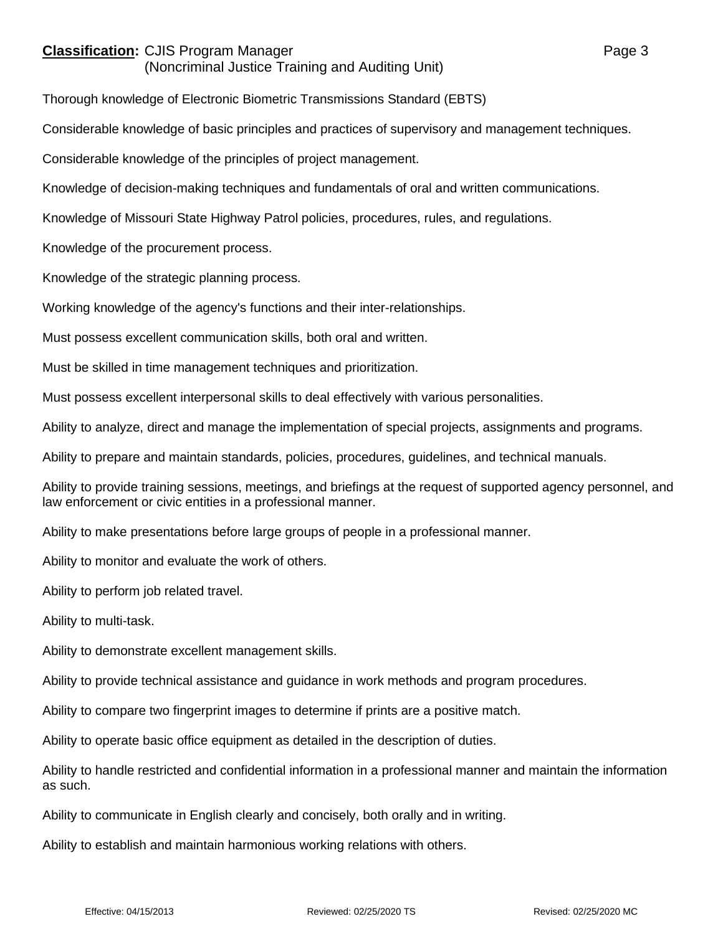## **Classification:** CJIS Program Manager **Classification:** Page 3

(Noncriminal Justice Training and Auditing Unit)

Thorough knowledge of Electronic Biometric Transmissions Standard (EBTS)

Considerable knowledge of basic principles and practices of supervisory and management techniques.

Considerable knowledge of the principles of project management.

Knowledge of decision-making techniques and fundamentals of oral and written communications.

Knowledge of Missouri State Highway Patrol policies, procedures, rules, and regulations.

Knowledge of the procurement process.

Knowledge of the strategic planning process.

Working knowledge of the agency's functions and their inter-relationships.

Must possess excellent communication skills, both oral and written.

Must be skilled in time management techniques and prioritization.

Must possess excellent interpersonal skills to deal effectively with various personalities.

Ability to analyze, direct and manage the implementation of special projects, assignments and programs.

Ability to prepare and maintain standards, policies, procedures, guidelines, and technical manuals.

Ability to provide training sessions, meetings, and briefings at the request of supported agency personnel, and law enforcement or civic entities in a professional manner.

Ability to make presentations before large groups of people in a professional manner.

Ability to monitor and evaluate the work of others.

Ability to perform job related travel.

Ability to multi-task.

Ability to demonstrate excellent management skills.

Ability to provide technical assistance and guidance in work methods and program procedures.

Ability to compare two fingerprint images to determine if prints are a positive match.

Ability to operate basic office equipment as detailed in the description of duties.

Ability to handle restricted and confidential information in a professional manner and maintain the information as such.

Ability to communicate in English clearly and concisely, both orally and in writing.

Ability to establish and maintain harmonious working relations with others.